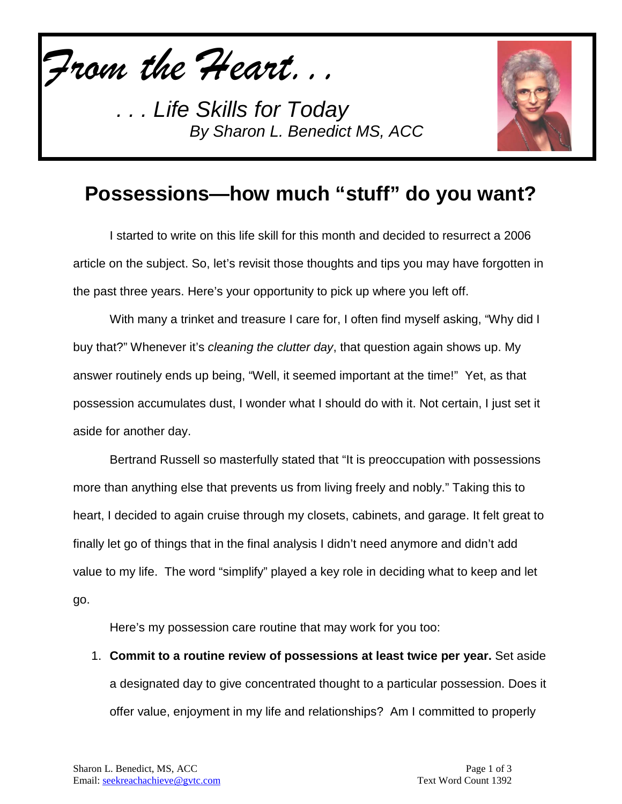*From the Heart...*



## **Possessions—how much "stuff" do you want?**

I started to write on this life skill for this month and decided to resurrect a 2006 article on the subject. So, let's revisit those thoughts and tips you may have forgotten in the past three years. Here's your opportunity to pick up where you left off.

With many a trinket and treasure I care for, I often find myself asking, "Why did I buy that?" Whenever it's *cleaning the clutter day*, that question again shows up. My answer routinely ends up being, "Well, it seemed important at the time!" Yet, as that possession accumulates dust, I wonder what I should do with it. Not certain, I just set it aside for another day.

Bertrand Russell so masterfully stated that "It is preoccupation with possessions more than anything else that prevents us from living freely and nobly." Taking this to heart, I decided to again cruise through my closets, cabinets, and garage. It felt great to finally let go of things that in the final analysis I didn't need anymore and didn't add value to my life. The word "simplify" played a key role in deciding what to keep and let go.

Here's my possession care routine that may work for you too:

1. **Commit to a routine review of possessions at least twice per year.** Set aside a designated day to give concentrated thought to a particular possession. Does it offer value, enjoyment in my life and relationships? Am I committed to properly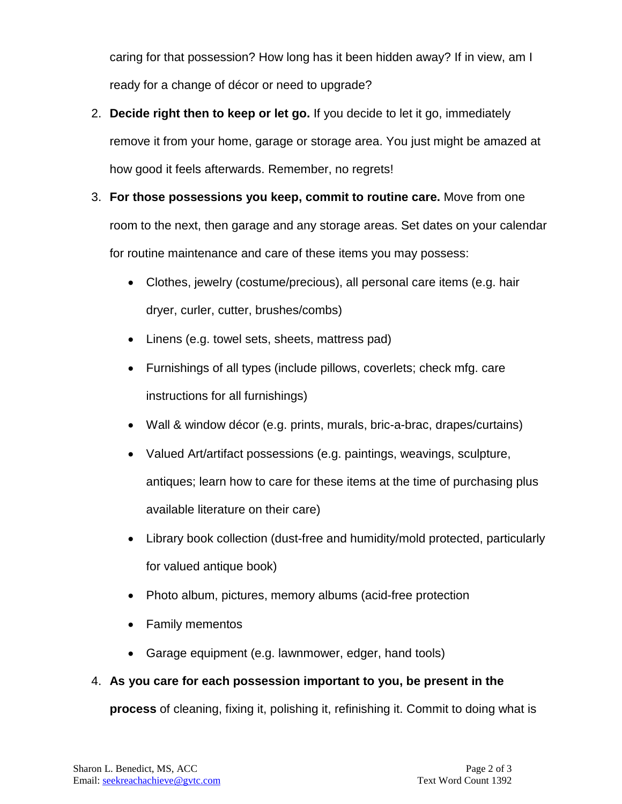caring for that possession? How long has it been hidden away? If in view, am I ready for a change of décor or need to upgrade?

- 2. **Decide right then to keep or let go.** If you decide to let it go, immediately remove it from your home, garage or storage area. You just might be amazed at how good it feels afterwards. Remember, no regrets!
- 3. **For those possessions you keep, commit to routine care.** Move from one room to the next, then garage and any storage areas. Set dates on your calendar for routine maintenance and care of these items you may possess:
	- Clothes, jewelry (costume/precious), all personal care items (e.g. hair dryer, curler, cutter, brushes/combs)
	- Linens (e.g. towel sets, sheets, mattress pad)
	- Furnishings of all types (include pillows, coverlets; check mfg. care instructions for all furnishings)
	- Wall & window décor (e.g. prints, murals, bric-a-brac, drapes/curtains)
	- Valued Art/artifact possessions (e.g. paintings, weavings, sculpture, antiques; learn how to care for these items at the time of purchasing plus available literature on their care)
	- Library book collection (dust-free and humidity/mold protected, particularly for valued antique book)
	- Photo album, pictures, memory albums (acid-free protection
	- Family mementos
	- Garage equipment (e.g. lawnmower, edger, hand tools)

#### 4. **As you care for each possession important to you, be present in the**

**process** of cleaning, fixing it, polishing it, refinishing it. Commit to doing what is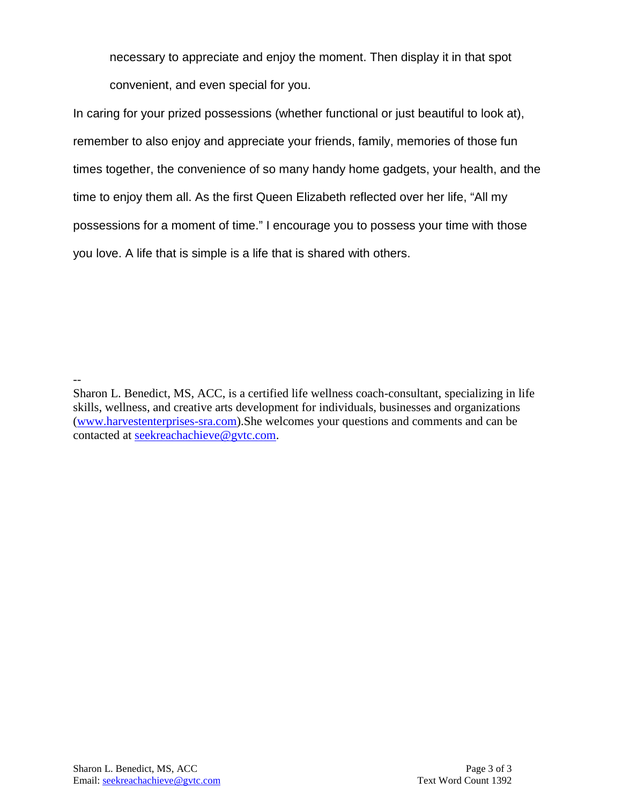necessary to appreciate and enjoy the moment. Then display it in that spot convenient, and even special for you.

In caring for your prized possessions (whether functional or just beautiful to look at), remember to also enjoy and appreciate your friends, family, memories of those fun times together, the convenience of so many handy home gadgets, your health, and the time to enjoy them all. As the first Queen Elizabeth reflected over her life, "All my possessions for a moment of time." I encourage you to possess your time with those you love. A life that is simple is a life that is shared with others.

Sharon L. Benedict, MS, ACC, is a certified life wellness coach-consultant, specializing in life skills, wellness, and creative arts development for individuals, businesses and organizations [\(www.harvestenterprises-sra.com\)](http://www.harvestenterprises-sra.com/).She welcomes your questions and comments and can be contacted at [seekreachachieve@gvtc.com.](mailto:seekreachachieve@gvtc.com)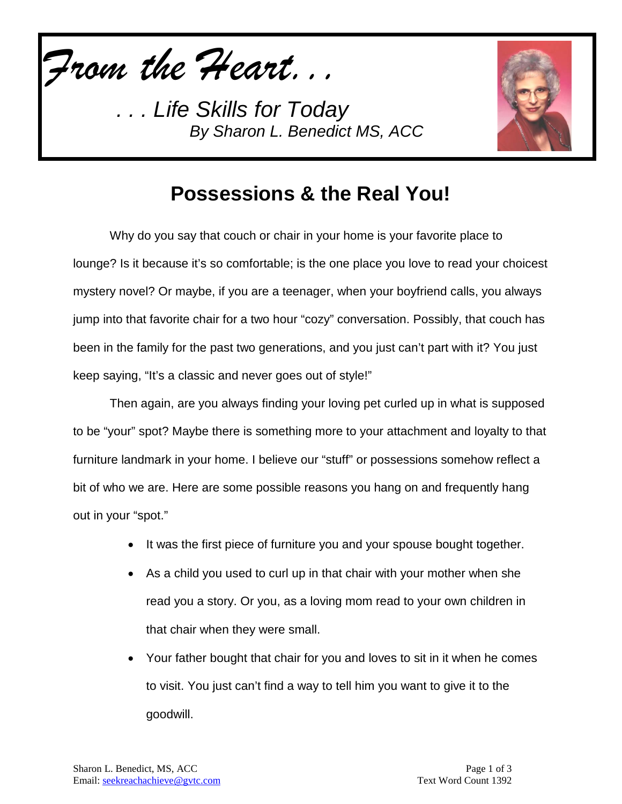*From the Heart...*



### **Possessions & the Real You!**

Why do you say that couch or chair in your home is your favorite place to lounge? Is it because it's so comfortable; is the one place you love to read your choicest mystery novel? Or maybe, if you are a teenager, when your boyfriend calls, you always jump into that favorite chair for a two hour "cozy" conversation. Possibly, that couch has been in the family for the past two generations, and you just can't part with it? You just keep saying, "It's a classic and never goes out of style!"

Then again, are you always finding your loving pet curled up in what is supposed to be "your" spot? Maybe there is something more to your attachment and loyalty to that furniture landmark in your home. I believe our "stuff" or possessions somehow reflect a bit of who we are. Here are some possible reasons you hang on and frequently hang out in your "spot."

- It was the first piece of furniture you and your spouse bought together.
- As a child you used to curl up in that chair with your mother when she read you a story. Or you, as a loving mom read to your own children in that chair when they were small.
- Your father bought that chair for you and loves to sit in it when he comes to visit. You just can't find a way to tell him you want to give it to the goodwill.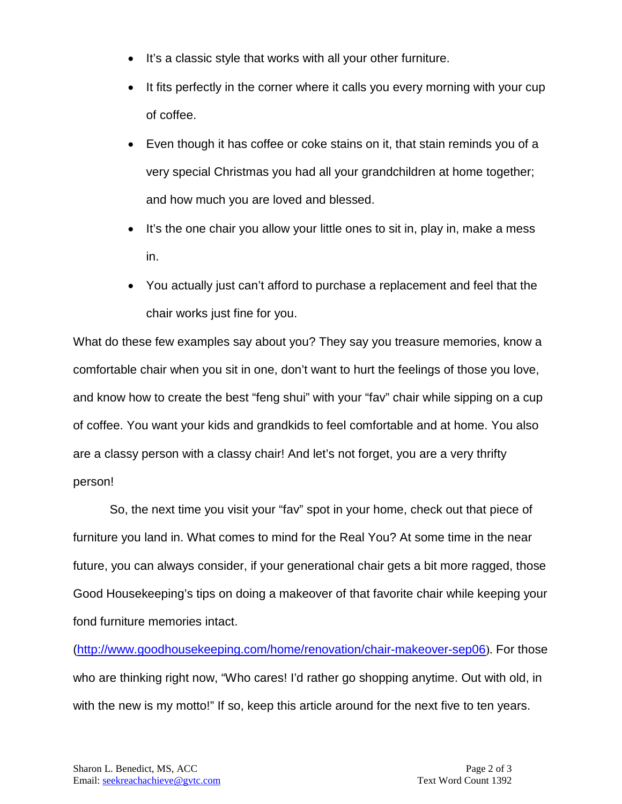- It's a classic style that works with all your other furniture.
- It fits perfectly in the corner where it calls you every morning with your cup of coffee.
- Even though it has coffee or coke stains on it, that stain reminds you of a very special Christmas you had all your grandchildren at home together; and how much you are loved and blessed.
- It's the one chair you allow your little ones to sit in, play in, make a mess in.
- You actually just can't afford to purchase a replacement and feel that the chair works just fine for you.

What do these few examples say about you? They say you treasure memories, know a comfortable chair when you sit in one, don't want to hurt the feelings of those you love, and know how to create the best "feng shui" with your "fav" chair while sipping on a cup of coffee. You want your kids and grandkids to feel comfortable and at home. You also are a classy person with a classy chair! And let's not forget, you are a very thrifty person!

So, the next time you visit your "fav" spot in your home, check out that piece of furniture you land in. What comes to mind for the Real You? At some time in the near future, you can always consider, if your generational chair gets a bit more ragged, those Good Housekeeping's tips on doing a makeover of that favorite chair while keeping your fond furniture memories intact.

[\(http://www.goodhousekeeping.com/home/renovation/chair-makeover-sep06](http://www.goodhousekeeping.com/home/renovation/chair-makeover-sep06)). For those who are thinking right now, "Who cares! I'd rather go shopping anytime. Out with old, in with the new is my motto!" If so, keep this article around for the next five to ten years.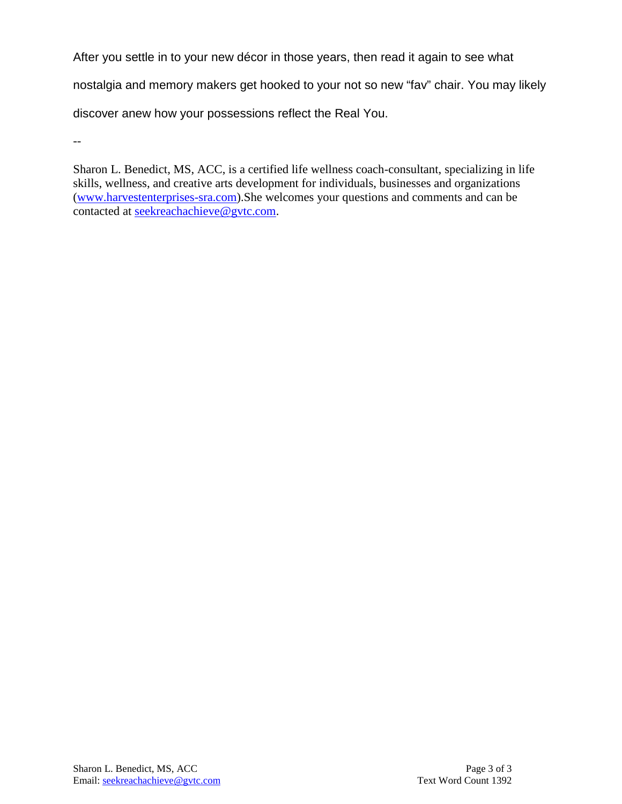After you settle in to your new décor in those years, then read it again to see what nostalgia and memory makers get hooked to your not so new "fav" chair. You may likely discover anew how your possessions reflect the Real You.

--

Sharon L. Benedict, MS, ACC, is a certified life wellness coach-consultant, specializing in life skills, wellness, and creative arts development for individuals, businesses and organizations [\(www.harvestenterprises-sra.com\)](http://www.harvestenterprises-sra.com/).She welcomes your questions and comments and can be contacted at [seekreachachieve@gvtc.com.](mailto:seekreachachieve@gvtc.com)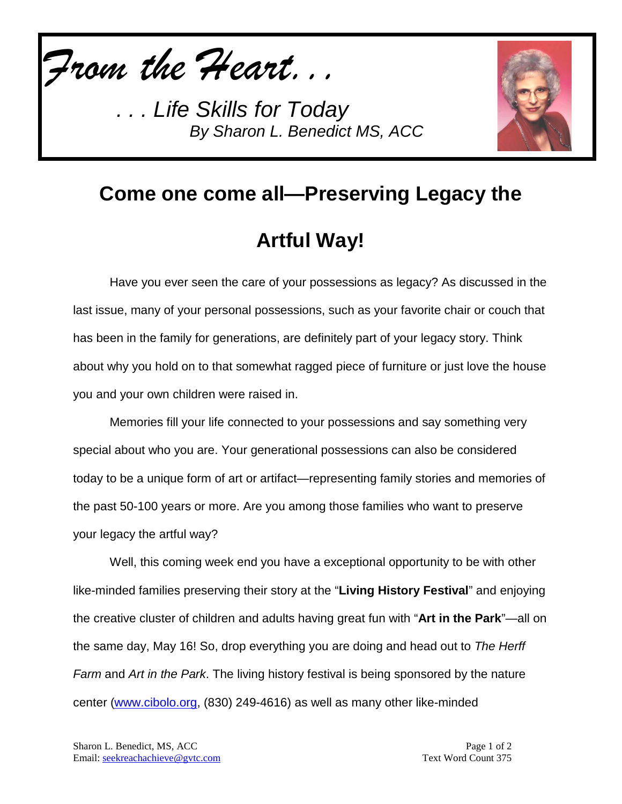*From the Heart...*



# **Come one come all—Preserving Legacy the Artful Way!**

Have you ever seen the care of your possessions as legacy? As discussed in the last issue, many of your personal possessions, such as your favorite chair or couch that has been in the family for generations, are definitely part of your legacy story. Think about why you hold on to that somewhat ragged piece of furniture or just love the house you and your own children were raised in.

Memories fill your life connected to your possessions and say something very special about who you are. Your generational possessions can also be considered today to be a unique form of art or artifact—representing family stories and memories of the past 50-100 years or more. Are you among those families who want to preserve your legacy the artful way?

Well, this coming week end you have a exceptional opportunity to be with other like-minded families preserving their story at the "**Living History Festival**" and enjoying the creative cluster of children and adults having great fun with "**Art in the Park**"—all on the same day, May 16! So, drop everything you are doing and head out to *The Herff Farm* and *Art in the Park*. The living history festival is being sponsored by the nature center [\(www.cibolo.org,](http://www.cibolo.org/) (830) 249-4616) as well as many other like-minded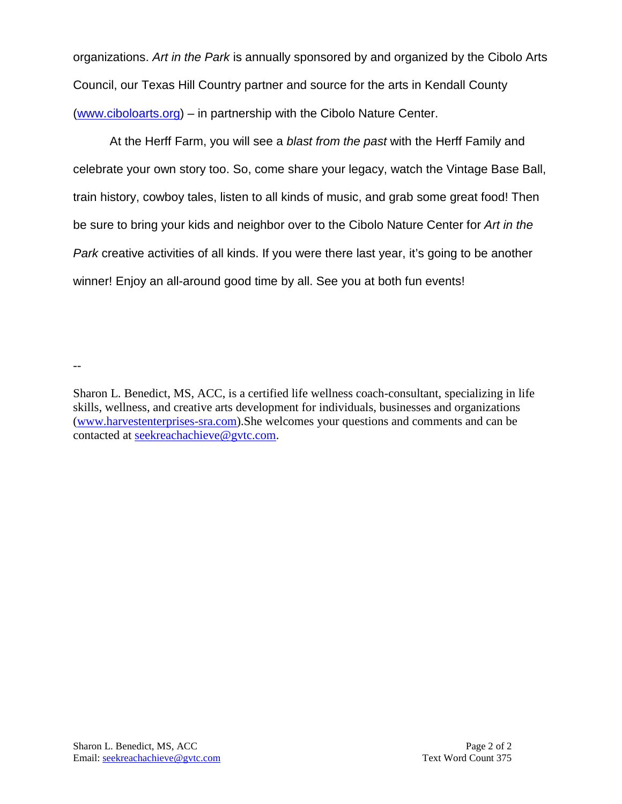organizations. *Art in the Park* is annually sponsored by and organized by the Cibolo Arts Council, our Texas Hill Country partner and source for the arts in Kendall County [\(www.ciboloarts.org\)](http://www.ciboloarts.org/) – in partnership with the Cibolo Nature Center.

At the Herff Farm, you will see a *blast from the past* with the Herff Family and celebrate your own story too. So, come share your legacy, watch the Vintage Base Ball, train history, cowboy tales, listen to all kinds of music, and grab some great food! Then be sure to bring your kids and neighbor over to the Cibolo Nature Center for *Art in the Park* creative activities of all kinds. If you were there last year, it's going to be another winner! Enjoy an all-around good time by all. See you at both fun events!

Sharon L. Benedict, MS, ACC, is a certified life wellness coach-consultant, specializing in life skills, wellness, and creative arts development for individuals, businesses and organizations [\(www.harvestenterprises-sra.com\)](http://www.harvestenterprises-sra.com/).She welcomes your questions and comments and can be contacted at [seekreachachieve@gvtc.com.](mailto:seekreachachieve@gvtc.com)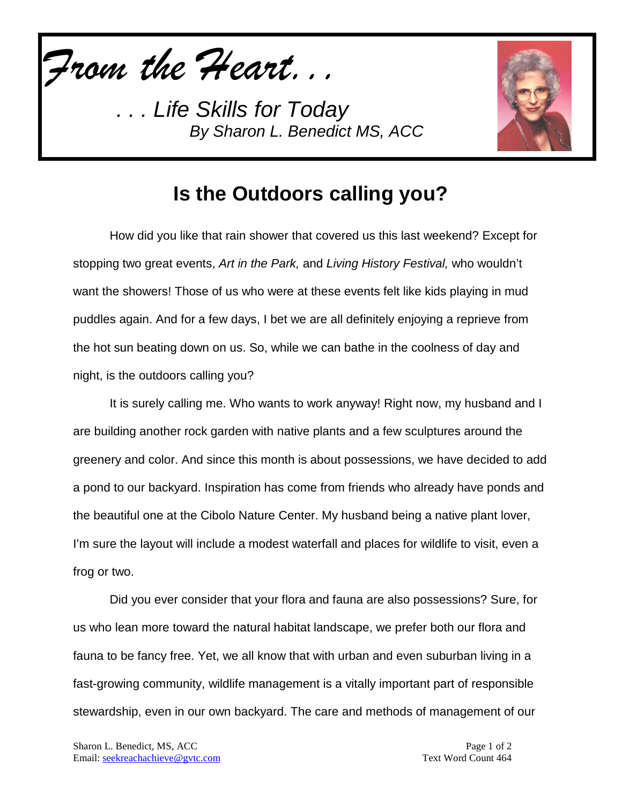*From the Heart...*



### **Is the Outdoors calling you?**

How did you like that rain shower that covered us this last weekend? Except for stopping two great events, *Art in the Park,* and *Living History Festival,* who wouldn't want the showers! Those of us who were at these events felt like kids playing in mud puddles again. And for a few days, I bet we are all definitely enjoying a reprieve from the hot sun beating down on us. So, while we can bathe in the coolness of day and night, is the outdoors calling you?

It is surely calling me. Who wants to work anyway! Right now, my husband and I are building another rock garden with native plants and a few sculptures around the greenery and color. And since this month is about possessions, we have decided to add a pond to our backyard. Inspiration has come from friends who already have ponds and the beautiful one at the Cibolo Nature Center. My husband being a native plant lover, I'm sure the layout will include a modest waterfall and places for wildlife to visit, even a frog or two.

Did you ever consider that your flora and fauna are also possessions? Sure, for us who lean more toward the natural habitat landscape, we prefer both our flora and fauna to be fancy free. Yet, we all know that with urban and even suburban living in a fast-growing community, wildlife management is a vitally important part of responsible stewardship, even in our own backyard. The care and methods of management of our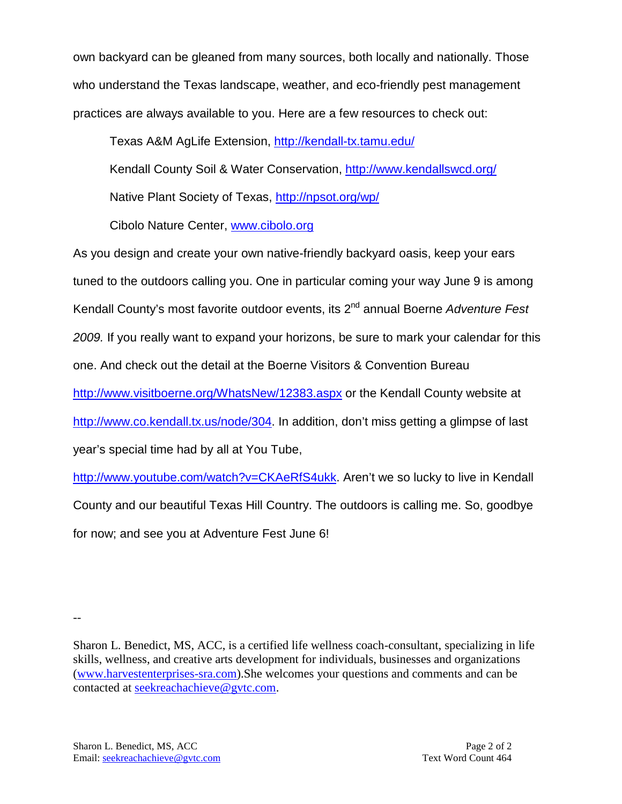own backyard can be gleaned from many sources, both locally and nationally. Those who understand the Texas landscape, weather, and eco-friendly pest management practices are always available to you. Here are a few resources to check out:

Texas A&M AgLife Extension,<http://kendall-tx.tamu.edu/>

Kendall County Soil & Water Conservation,<http://www.kendallswcd.org/>

Native Plant Society of Texas,<http://npsot.org/wp/>

Cibolo Nature Center, [www.cibolo.org](http://www.cibolo.org/)

As you design and create your own native-friendly backyard oasis, keep your ears tuned to the outdoors calling you. One in particular coming your way June 9 is among Kendall County's most favorite outdoor events, its 2nd annual Boerne *Adventure Fest 2009.* If you really want to expand your horizons, be sure to mark your calendar for this one. And check out the detail at the Boerne Visitors & Convention Bureau <http://www.visitboerne.org/WhatsNew/12383.aspx> or the Kendall County website at [http://www.co.kendall.tx.us/node/304.](http://www.co.kendall.tx.us/node/304) In addition, don't miss getting a glimpse of last year's special time had by all at You Tube,

[http://www.youtube.com/watch?v=CKAeRfS4ukk.](http://www.youtube.com/watch?v=CKAeRfS4ukk) Aren't we so lucky to live in Kendall County and our beautiful Texas Hill Country. The outdoors is calling me. So, goodbye for now; and see you at Adventure Fest June 6!

Sharon L. Benedict, MS, ACC, is a certified life wellness coach-consultant, specializing in life skills, wellness, and creative arts development for individuals, businesses and organizations [\(www.harvestenterprises-sra.com\)](http://www.harvestenterprises-sra.com/).She welcomes your questions and comments and can be contacted at [seekreachachieve@gvtc.com.](mailto:seekreachachieve@gvtc.com)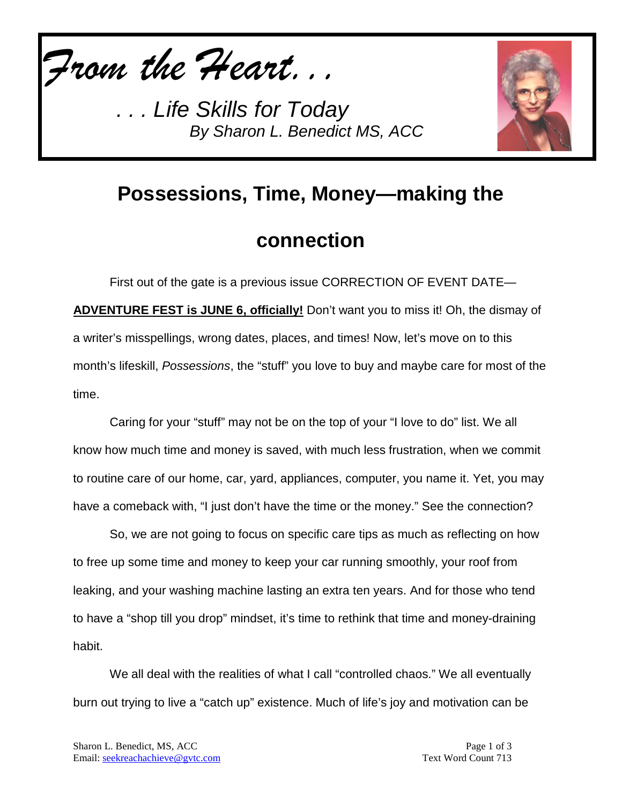*From the Heart...*



# **Possessions, Time, Money—making the**

### **connection**

First out of the gate is a previous issue CORRECTION OF EVENT DATE— **ADVENTURE FEST is JUNE 6, officially!** Don't want you to miss it! Oh, the dismay of a writer's misspellings, wrong dates, places, and times! Now, let's move on to this month's lifeskill, *Possessions*, the "stuff" you love to buy and maybe care for most of the time.

Caring for your "stuff" may not be on the top of your "I love to do" list. We all know how much time and money is saved, with much less frustration, when we commit to routine care of our home, car, yard, appliances, computer, you name it. Yet, you may have a comeback with, "I just don't have the time or the money." See the connection?

So, we are not going to focus on specific care tips as much as reflecting on how to free up some time and money to keep your car running smoothly, your roof from leaking, and your washing machine lasting an extra ten years. And for those who tend to have a "shop till you drop" mindset, it's time to rethink that time and money-draining habit.

We all deal with the realities of what I call "controlled chaos." We all eventually burn out trying to live a "catch up" existence. Much of life's joy and motivation can be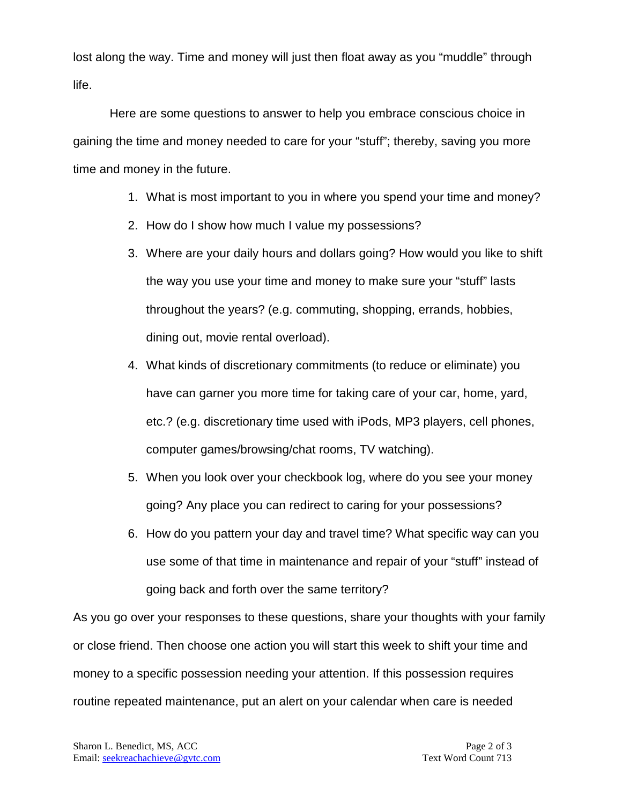lost along the way. Time and money will just then float away as you "muddle" through life.

Here are some questions to answer to help you embrace conscious choice in gaining the time and money needed to care for your "stuff"; thereby, saving you more time and money in the future.

- 1. What is most important to you in where you spend your time and money?
- 2. How do I show how much I value my possessions?
- 3. Where are your daily hours and dollars going? How would you like to shift the way you use your time and money to make sure your "stuff" lasts throughout the years? (e.g. commuting, shopping, errands, hobbies, dining out, movie rental overload).
- 4. What kinds of discretionary commitments (to reduce or eliminate) you have can garner you more time for taking care of your car, home, yard, etc.? (e.g. discretionary time used with iPods, MP3 players, cell phones, computer games/browsing/chat rooms, TV watching).
- 5. When you look over your checkbook log, where do you see your money going? Any place you can redirect to caring for your possessions?
- 6. How do you pattern your day and travel time? What specific way can you use some of that time in maintenance and repair of your "stuff" instead of going back and forth over the same territory?

As you go over your responses to these questions, share your thoughts with your family or close friend. Then choose one action you will start this week to shift your time and money to a specific possession needing your attention. If this possession requires routine repeated maintenance, put an alert on your calendar when care is needed